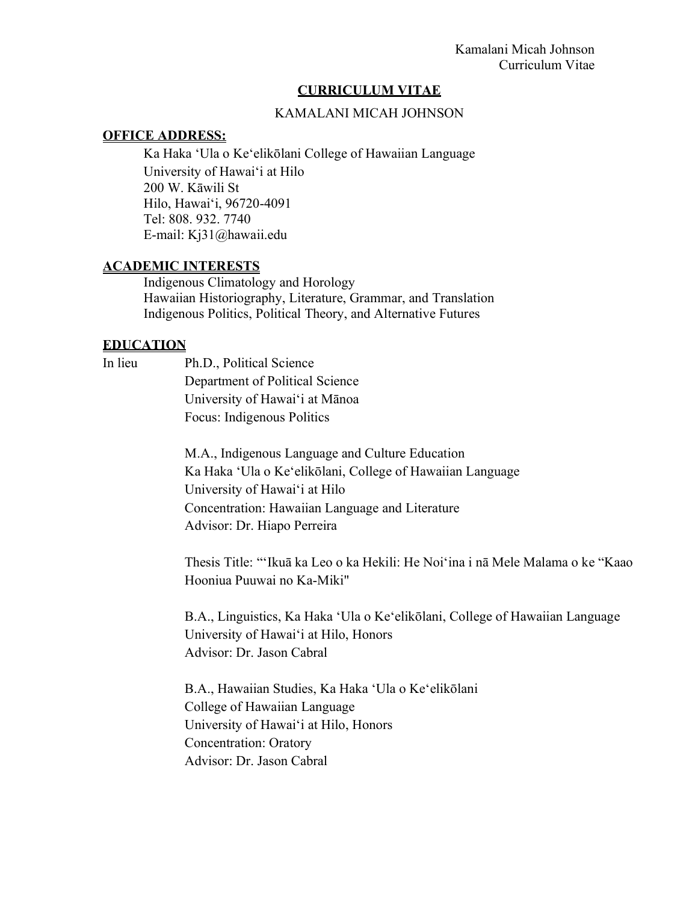### **CURRICULUM VITAE**

### KAMALANI MICAH JOHNSON

#### **OFFICE ADDRESS:**

Ka Haka ʻUla o Keʻelikōlani College of Hawaiian Language University of Hawaiʻi at Hilo 200 W. Kāwili St Hilo, Hawaiʻi, 96720-4091 Tel: 808. 932. 7740 E-mail: Kj31@hawaii.edu

#### **ACADEMIC INTERESTS**

Indigenous Climatology and Horology Hawaiian Historiography, Literature, Grammar, and Translation Indigenous Politics, Political Theory, and Alternative Futures

#### **EDUCATION**

In lieu Ph.D., Political Science Department of Political Science University of Hawaiʻi at Mānoa Focus: Indigenous Politics

> M.A., Indigenous Language and Culture Education Ka Haka ʻUla o Keʻelikōlani, College of Hawaiian Language University of Hawaiʻi at Hilo Concentration: Hawaiian Language and Literature Advisor: Dr. Hiapo Perreira

Thesis Title: "ʻIkuā ka Leo o ka Hekili: He Noiʻina i nā Mele Malama o ke "Kaao Hooniua Puuwai no Ka-Miki"

B.A., Linguistics, Ka Haka ʻUla o Keʻelikōlani, College of Hawaiian Language University of Hawaiʻi at Hilo, Honors Advisor: Dr. Jason Cabral

B.A., Hawaiian Studies, Ka Haka ʻUla o Keʻelikōlani College of Hawaiian Language University of Hawaiʻi at Hilo, Honors Concentration: Oratory Advisor: Dr. Jason Cabral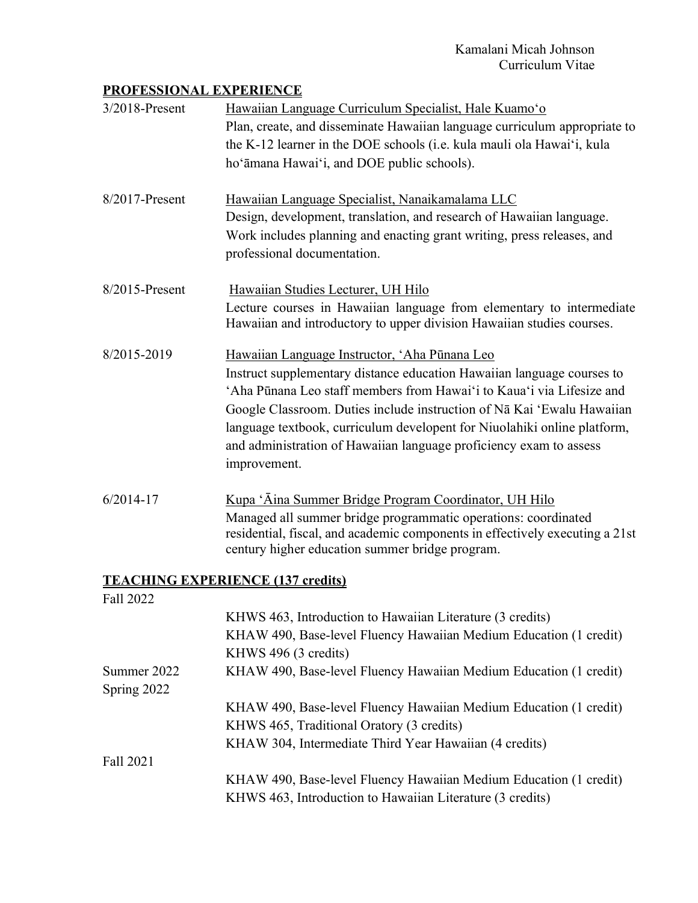# **PROFESSIONAL EXPERIENCE**

| 3/2018-Present             | Hawaiian Language Curriculum Specialist, Hale Kuamo'o<br>Plan, create, and disseminate Hawaiian language curriculum appropriate to<br>the K-12 learner in the DOE schools (i.e. kula mauli ola Hawai'i, kula<br>ho'āmana Hawai'i, and DOE public schools).                                                                                                                                                                                   |  |  |
|----------------------------|----------------------------------------------------------------------------------------------------------------------------------------------------------------------------------------------------------------------------------------------------------------------------------------------------------------------------------------------------------------------------------------------------------------------------------------------|--|--|
| 8/2017-Present             | Hawaiian Language Specialist, Nanaikamalama LLC<br>Design, development, translation, and research of Hawaiian language.<br>Work includes planning and enacting grant writing, press releases, and<br>professional documentation.                                                                                                                                                                                                             |  |  |
| 8/2015-Present             | Hawaiian Studies Lecturer, UH Hilo<br>Lecture courses in Hawaiian language from elementary to intermediate<br>Hawaiian and introductory to upper division Hawaiian studies courses.                                                                                                                                                                                                                                                          |  |  |
| 8/2015-2019                | Hawaiian Language Instructor, 'Aha Pūnana Leo<br>Instruct supplementary distance education Hawaiian language courses to<br>'Aha Pūnana Leo staff members from Hawai'i to Kaua'i via Lifesize and<br>Google Classroom. Duties include instruction of Nā Kai 'Ewalu Hawaiian<br>language textbook, curriculum developent for Niuolahiki online platform,<br>and administration of Hawaiian language proficiency exam to assess<br>improvement. |  |  |
| $6/2014 - 17$              | <u>Kupa 'Āina Summer Bridge Program Coordinator, UH Hilo</u><br>Managed all summer bridge programmatic operations: coordinated<br>residential, fiscal, and academic components in effectively executing a 21st<br>century higher education summer bridge program.                                                                                                                                                                            |  |  |
|                            | <b>TEACHING EXPERIENCE (137 credits)</b>                                                                                                                                                                                                                                                                                                                                                                                                     |  |  |
| Fall 2022                  |                                                                                                                                                                                                                                                                                                                                                                                                                                              |  |  |
|                            | KHWS 463, Introduction to Hawaiian Literature (3 credits)                                                                                                                                                                                                                                                                                                                                                                                    |  |  |
|                            | KHAW 490, Base-level Fluency Hawaiian Medium Education (1 credit)                                                                                                                                                                                                                                                                                                                                                                            |  |  |
|                            | KHWS 496 (3 credits)                                                                                                                                                                                                                                                                                                                                                                                                                         |  |  |
| Summer 2022<br>Spring 2022 | KHAW 490, Base-level Fluency Hawaiian Medium Education (1 credit)                                                                                                                                                                                                                                                                                                                                                                            |  |  |
|                            | KHAW 490, Base-level Fluency Hawaiian Medium Education (1 credit)                                                                                                                                                                                                                                                                                                                                                                            |  |  |
|                            | KHWS 465, Traditional Oratory (3 credits)                                                                                                                                                                                                                                                                                                                                                                                                    |  |  |
|                            | KHAW 304, Intermediate Third Year Hawaiian (4 credits)                                                                                                                                                                                                                                                                                                                                                                                       |  |  |
| Fall 2021                  |                                                                                                                                                                                                                                                                                                                                                                                                                                              |  |  |
|                            | KHAW 490, Base-level Fluency Hawaiian Medium Education (1 credit)<br>KHWS 463, Introduction to Hawaiian Literature (3 credits)                                                                                                                                                                                                                                                                                                               |  |  |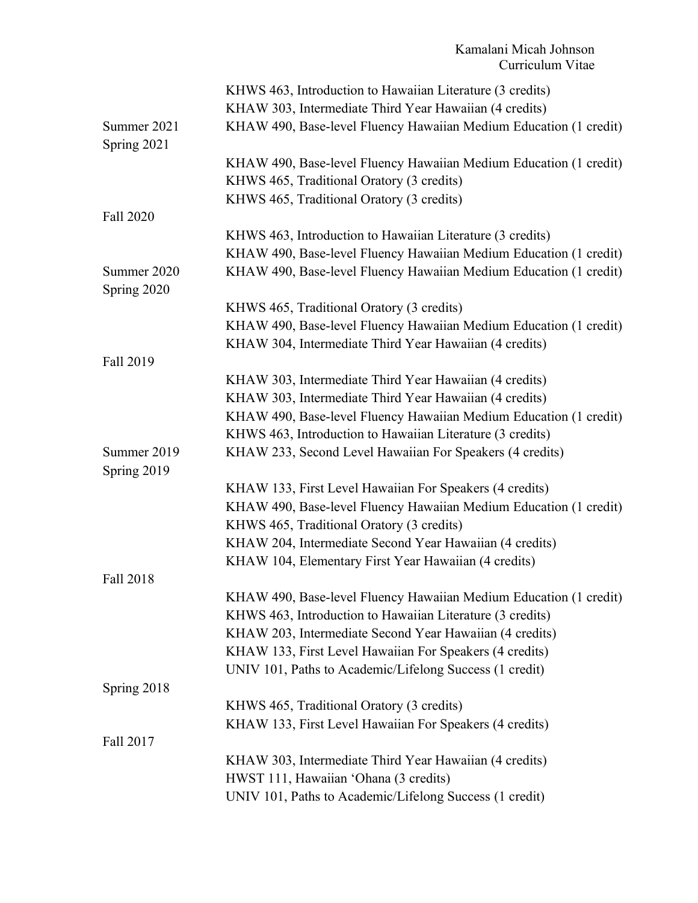|                            | KHWS 463, Introduction to Hawaiian Literature (3 credits)         |
|----------------------------|-------------------------------------------------------------------|
|                            | KHAW 303, Intermediate Third Year Hawaiian (4 credits)            |
| Summer 2021                | KHAW 490, Base-level Fluency Hawaiian Medium Education (1 credit) |
| Spring 2021                |                                                                   |
|                            | KHAW 490, Base-level Fluency Hawaiian Medium Education (1 credit) |
|                            | KHWS 465, Traditional Oratory (3 credits)                         |
|                            | KHWS 465, Traditional Oratory (3 credits)                         |
| Fall 2020                  |                                                                   |
|                            | KHWS 463, Introduction to Hawaiian Literature (3 credits)         |
|                            | KHAW 490, Base-level Fluency Hawaiian Medium Education (1 credit) |
| Summer 2020<br>Spring 2020 | KHAW 490, Base-level Fluency Hawaiian Medium Education (1 credit) |
|                            | KHWS 465, Traditional Oratory (3 credits)                         |
|                            | KHAW 490, Base-level Fluency Hawaiian Medium Education (1 credit) |
|                            | KHAW 304, Intermediate Third Year Hawaiian (4 credits)            |
| Fall 2019                  |                                                                   |
|                            | KHAW 303, Intermediate Third Year Hawaiian (4 credits)            |
|                            | KHAW 303, Intermediate Third Year Hawaiian (4 credits)            |
|                            | KHAW 490, Base-level Fluency Hawaiian Medium Education (1 credit) |
|                            | KHWS 463, Introduction to Hawaiian Literature (3 credits)         |
| Summer 2019<br>Spring 2019 | KHAW 233, Second Level Hawaiian For Speakers (4 credits)          |
|                            | KHAW 133, First Level Hawaiian For Speakers (4 credits)           |
|                            | KHAW 490, Base-level Fluency Hawaiian Medium Education (1 credit) |
|                            | KHWS 465, Traditional Oratory (3 credits)                         |
|                            | KHAW 204, Intermediate Second Year Hawaiian (4 credits)           |
|                            | KHAW 104, Elementary First Year Hawaiian (4 credits)              |
| Fall 2018                  |                                                                   |
|                            | KHAW 490, Base-level Fluency Hawaiian Medium Education (1 credit) |
|                            | KHWS 463, Introduction to Hawaiian Literature (3 credits)         |
|                            | KHAW 203, Intermediate Second Year Hawaiian (4 credits)           |
|                            | KHAW 133, First Level Hawaiian For Speakers (4 credits)           |
|                            | UNIV 101, Paths to Academic/Lifelong Success (1 credit)           |
| Spring 2018                |                                                                   |
|                            | KHWS 465, Traditional Oratory (3 credits)                         |
|                            | KHAW 133, First Level Hawaiian For Speakers (4 credits)           |
| Fall 2017                  |                                                                   |
|                            | KHAW 303, Intermediate Third Year Hawaiian (4 credits)            |
|                            | HWST 111, Hawaiian 'Ohana (3 credits)                             |
|                            | UNIV 101, Paths to Academic/Lifelong Success (1 credit)           |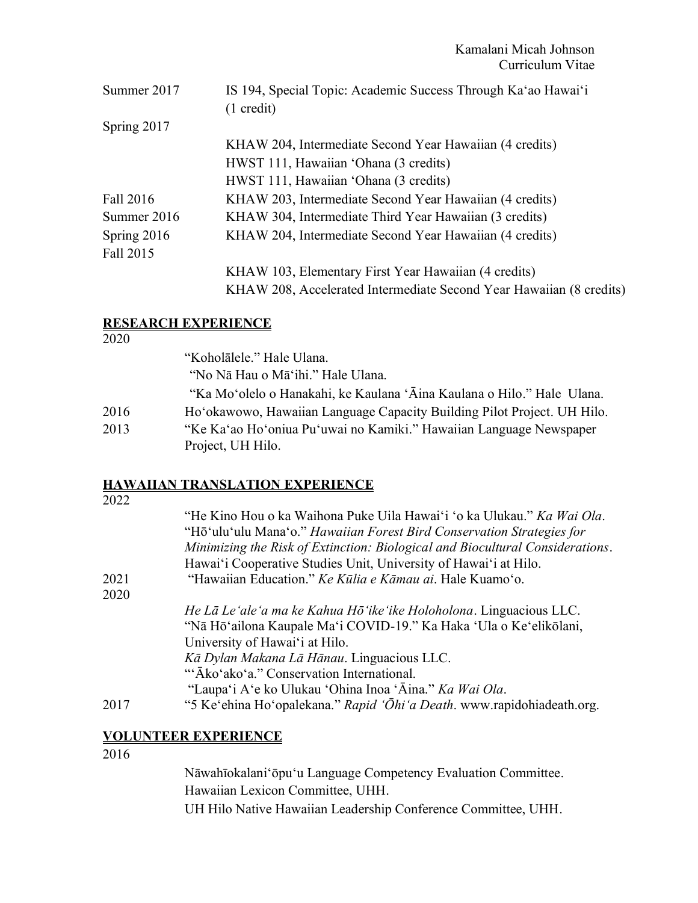| Summer 2017 | IS 194, Special Topic: Academic Success Through Ka'ao Hawai'i       |
|-------------|---------------------------------------------------------------------|
|             | $(1 \text{ credit})$                                                |
| Spring 2017 |                                                                     |
|             | KHAW 204, Intermediate Second Year Hawaiian (4 credits)             |
|             | HWST 111, Hawaiian 'Ohana (3 credits)                               |
|             | HWST 111, Hawaiian 'Ohana (3 credits)                               |
| Fall 2016   | KHAW 203, Intermediate Second Year Hawaiian (4 credits)             |
| Summer 2016 | KHAW 304, Intermediate Third Year Hawaiian (3 credits)              |
| Spring 2016 | KHAW 204, Intermediate Second Year Hawaiian (4 credits)             |
| Fall 2015   |                                                                     |
|             | KHAW 103, Elementary First Year Hawaiian (4 credits)                |
|             | KHAW 208, Accelerated Intermediate Second Year Hawaiian (8 credits) |
|             |                                                                     |

## **RESEARCH EXPERIENCE**

2020

"Koholālele." Hale Ulana. "No Nā Hau o Māʻihi." Hale Ulana. "Ka Moʻolelo o Hanakahi, ke Kaulana ʻĀina Kaulana o Hilo." Hale Ulana. 2016 Hoʻokawowo, Hawaiian Language Capacity Building Pilot Project. UH Hilo. 2013 "Ke Kaʻao Hoʻoniua Puʻuwai no Kamiki." Hawaiian Language Newspaper Project, UH Hilo.

# **HAWAIIAN TRANSLATION EXPERIENCE**

| "He Kino Hou o ka Waihona Puke Uila Hawai'i 'o ka Ulukau." Ka Wai Ola.        |
|-------------------------------------------------------------------------------|
|                                                                               |
| Minimizing the Risk of Extinction: Biological and Biocultural Considerations. |
|                                                                               |
|                                                                               |
|                                                                               |
|                                                                               |
|                                                                               |
|                                                                               |
|                                                                               |
|                                                                               |
|                                                                               |
| "5 Ke'ehina Ho'opalekana." Rapid 'Ōhi'a Death. www.rapidohiadeath.org.        |
|                                                                               |

## **VOLUNTEER EXPERIENCE**

2016

Nāwahīokalaniʻōpuʻu Language Competency Evaluation Committee. Hawaiian Lexicon Committee, UHH. UH Hilo Native Hawaiian Leadership Conference Committee, UHH.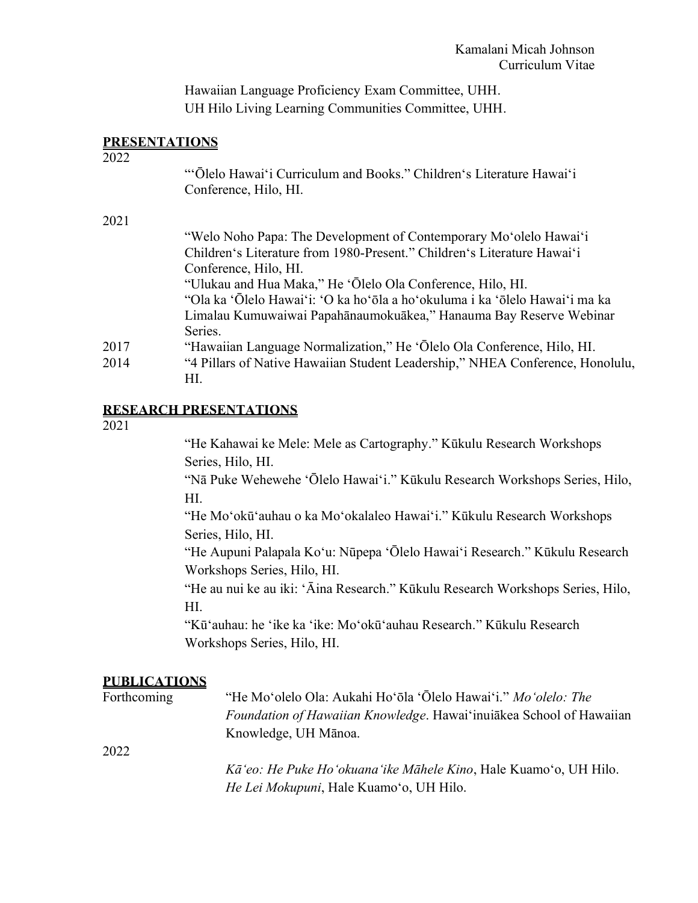Hawaiian Language Proficiency Exam Committee, UHH. UH Hilo Living Learning Communities Committee, UHH.

### **PRESENTATIONS**

2022

|      | "Olelo Hawai'i Curriculum and Books." Children's Literature Hawai'i<br>Conference, Hilo, HI. |
|------|----------------------------------------------------------------------------------------------|
| 2021 |                                                                                              |
|      | "Welo Noho Papa: The Development of Contemporary Mo'olelo Hawai'i                            |
|      | Children's Literature from 1980-Present." Children's Literature Hawai'i                      |
|      | Conference, Hilo, HI.                                                                        |
|      | "Ulukau and Hua Maka," He 'Ōlelo Ola Conference, Hilo, HI.                                   |
|      | "Ola ka 'Ōlelo Hawai'i: 'O ka ho'ōla a ho'okuluma i ka 'ōlelo Hawai'i ma ka                  |
|      | Limalau Kumuwaiwai Papahānaumokuākea," Hanauma Bay Reserve Webinar                           |
|      | Series.                                                                                      |
| 2017 | "Hawaiian Language Normalization," He 'Ōlelo Ola Conference, Hilo, HI.                       |
| 2014 | "4 Pillars of Native Hawaiian Student Leadership," NHEA Conference, Honolulu,                |
|      | HI.                                                                                          |
|      |                                                                                              |

## **RESEARCH PRESENTATIONS**

2021

"He Kahawai ke Mele: Mele as Cartography." Kūkulu Research Workshops Series, Hilo, HI.

"Nā Puke Wehewehe ʻŌlelo Hawaiʻi." Kūkulu Research Workshops Series, Hilo, HI.

"He Moʻokūʻauhau o ka Moʻokalaleo Hawaiʻi." Kūkulu Research Workshops Series, Hilo, HI.

"He Aupuni Palapala Koʻu: Nūpepa ʻŌlelo Hawaiʻi Research." Kūkulu Research Workshops Series, Hilo, HI.

"He au nui ke au iki: ʻĀina Research." Kūkulu Research Workshops Series, Hilo, HI.

"Kūʻauhau: he ʻike ka ʻike: Moʻokūʻauhau Research." Kūkulu Research Workshops Series, Hilo, HI.

### **PUBLICATIONS**

| Forthcoming | "He Mo'olelo Ola: Aukahi Ho'ōla 'Ōlelo Hawai'i." Mo 'olelo: The                                             |  |  |
|-------------|-------------------------------------------------------------------------------------------------------------|--|--|
|             | Foundation of Hawaiian Knowledge. Hawai inuiakea School of Hawaiian                                         |  |  |
|             | Knowledge, UH Mānoa.                                                                                        |  |  |
| 2022        |                                                                                                             |  |  |
|             | Kā'eo: He Puke Ho'okuana'ike Māhele Kino, Hale Kuamo'o, UH Hilo.<br>He Lei Mokupuni, Hale Kuamo'o, UH Hilo. |  |  |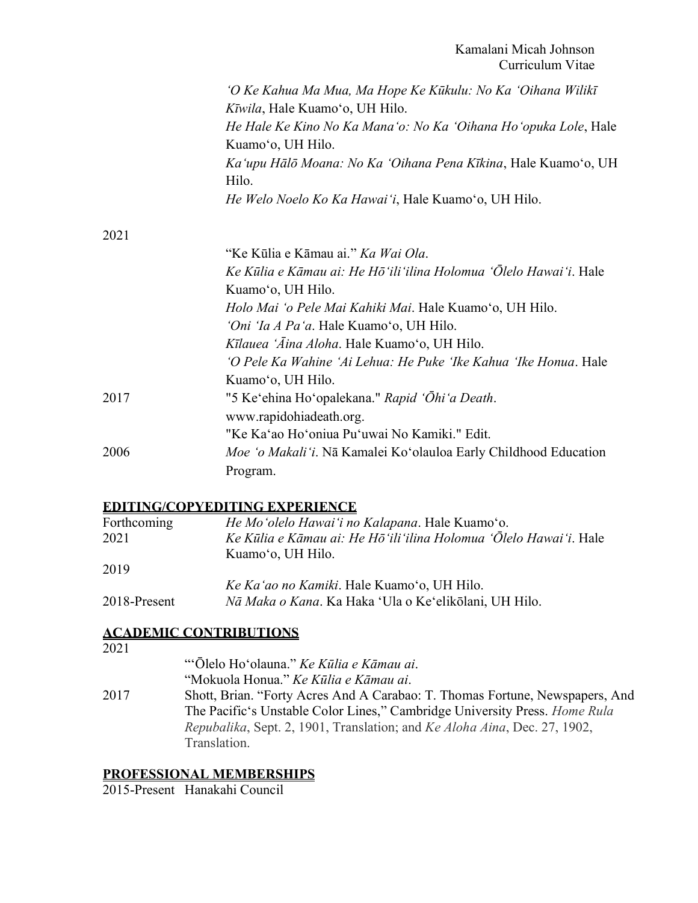|      | 'O Ke Kahua Ma Mua, Ma Hope Ke Kūkulu: No Ka 'Oihana Wilikī'<br>Kīwila, Hale Kuamo'o, UH Hilo. |
|------|------------------------------------------------------------------------------------------------|
|      | He Hale Ke Kino No Ka Mana'o: No Ka 'Oihana Ho'opuka Lole, Hale<br>Kuamo'o, UH Hilo.           |
|      | Ka'upu Hālō Moana: No Ka 'Oihana Pena Kīkina, Hale Kuamo'o, UH<br>Hilo.                        |
|      | He Welo Noelo Ko Ka Hawai'i, Hale Kuamo'o, UH Hilo.                                            |
| 2021 |                                                                                                |
|      | "Ke Kūlia e Kāmau ai." Ka Wai Ola.                                                             |
|      | Ke Kūlia e Kāmau ai: He Hō 'ili 'ilina Holomua 'Õlelo Hawai'i. Hale                            |
|      | Kuamo'o, UH Hilo.                                                                              |
|      | Holo Mai 'o Pele Mai Kahiki Mai. Hale Kuamo'o, UH Hilo.                                        |
|      | 'Oni 'Ia A Pa'a. Hale Kuamo'o, UH Hilo.                                                        |
|      | Kīlauea 'Āina Aloha. Hale Kuamo'o, UH Hilo.                                                    |
|      | 'O Pele Ka Wahine 'Ai Lehua: He Puke 'Ike Kahua 'Ike Honua. Hale                               |
|      | Kuamo'o, UH Hilo.                                                                              |
| 2017 | "5 Ke'ehina Ho'opalekana." Rapid 'Ōhi'a Death.                                                 |
|      | www.rapidohiadeath.org.                                                                        |
|      | "Ke Ka'ao Ho'oniua Pu'uwai No Kamiki." Edit.                                                   |
| 2006 | Moe 'o Makali'i. Nā Kamalei Ko'olauloa Early Childhood Education                               |
|      | Program.                                                                                       |
|      |                                                                                                |

### **EDITING/COPYEDITING EXPERIENCE**

| Forthcoming  | He Mo'olelo Hawai'i no Kalapana. Hale Kuamo'o.                    |
|--------------|-------------------------------------------------------------------|
| 2021         | Ke Kūlia e Kāmau ai: He Hō'ili'ilina Holomua 'Ōlelo Hawai'i. Hale |
|              | Kuamo'o, UH Hilo.                                                 |
| 2019         |                                                                   |
|              | Ke Ka'ao no Kamiki. Hale Kuamo'o, UH Hilo.                        |
| 2018-Present | Nā Maka o Kana. Ka Haka 'Ula o Ke'elikolani, UH Hilo.             |

## **ACADEMIC CONTRIBUTIONS**

"ʻŌlelo Hoʻolauna." *Ke Kūlia e Kāmau ai*. "Mokuola Honua." *Ke Kūlia e Kāmau ai*. 2017 Shott, Brian. "Forty Acres And A Carabao: T. Thomas Fortune, Newspapers, And The Pacificʻs Unstable Color Lines," Cambridge University Press. *Home Rula Repubalika*, Sept. 2, 1901, Translation; and *Ke Aloha Aina*, Dec. 27, 1902, Translation.

# **PROFESSIONAL MEMBERSHIPS**

2015-Present Hanakahi Council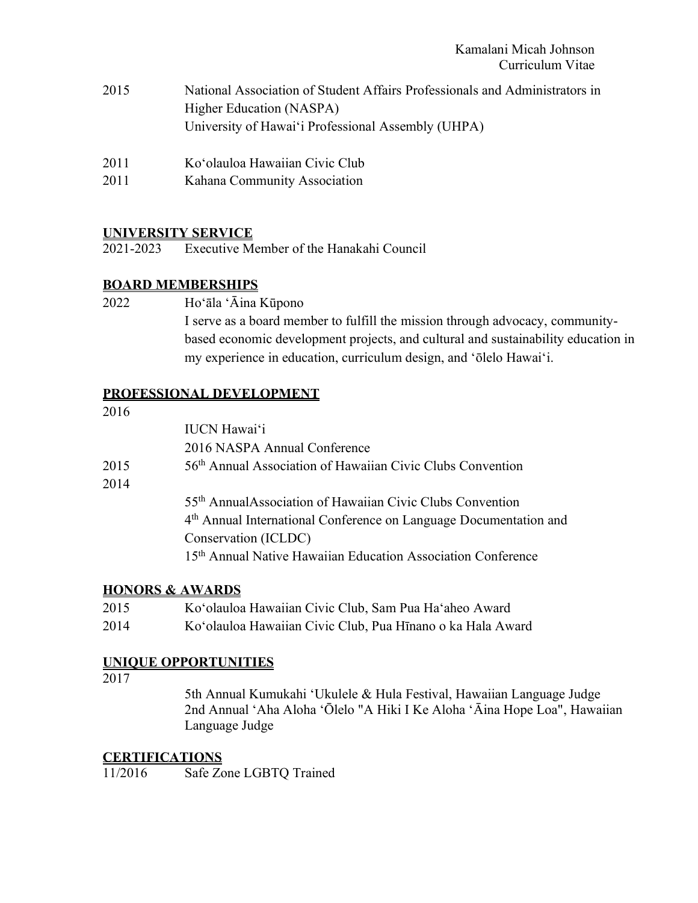- 2015 National Association of Student Affairs Professionals and Administrators in Higher Education (NASPA) University of Hawaiʻi Professional Assembly (UHPA)
- 2011 Koʻolauloa Hawaiian Civic Club
- 2011 Kahana Community Association

## **UNIVERSITY SERVICE**

2021-2023 Executive Member of the Hanakahi Council

## **BOARD MEMBERSHIPS**

2022 Hoʻāla ʻĀina Kūpono

I serve as a board member to fulfill the mission through advocacy, communitybased economic development projects, and cultural and sustainability education in my experience in education, curriculum design, and ʻōlelo Hawaiʻi.

## **PROFESSIONAL DEVELOPMENT**

|      | <b>IUCN</b> Hawai'i                                                           |
|------|-------------------------------------------------------------------------------|
|      | 2016 NASPA Annual Conference                                                  |
| 2015 | 56 <sup>th</sup> Annual Association of Hawaiian Civic Clubs Convention        |
| 2014 |                                                                               |
|      | 55 <sup>th</sup> AnnualAssociation of Hawaiian Civic Clubs Convention         |
|      | 4 <sup>th</sup> Annual International Conference on Language Documentation and |
|      | Conservation (ICLDC)                                                          |
|      | 15 <sup>th</sup> Annual Native Hawaiian Education Association Conference      |

## **HONORS & AWARDS**

- 2015 Koʻolauloa Hawaiian Civic Club, Sam Pua Haʻaheo Award
- 2014 Koʻolauloa Hawaiian Civic Club, Pua Hīnano o ka Hala Award

## **UNIQUE OPPORTUNITIES**

### 2017

5th Annual Kumukahi ʻUkulele & Hula Festival, Hawaiian Language Judge 2nd Annual ʻAha Aloha ʻŌlelo "A Hiki I Ke Aloha ʻĀina Hope Loa", Hawaiian Language Judge

## **CERTIFICATIONS**

11/2016 Safe Zone LGBTQ Trained